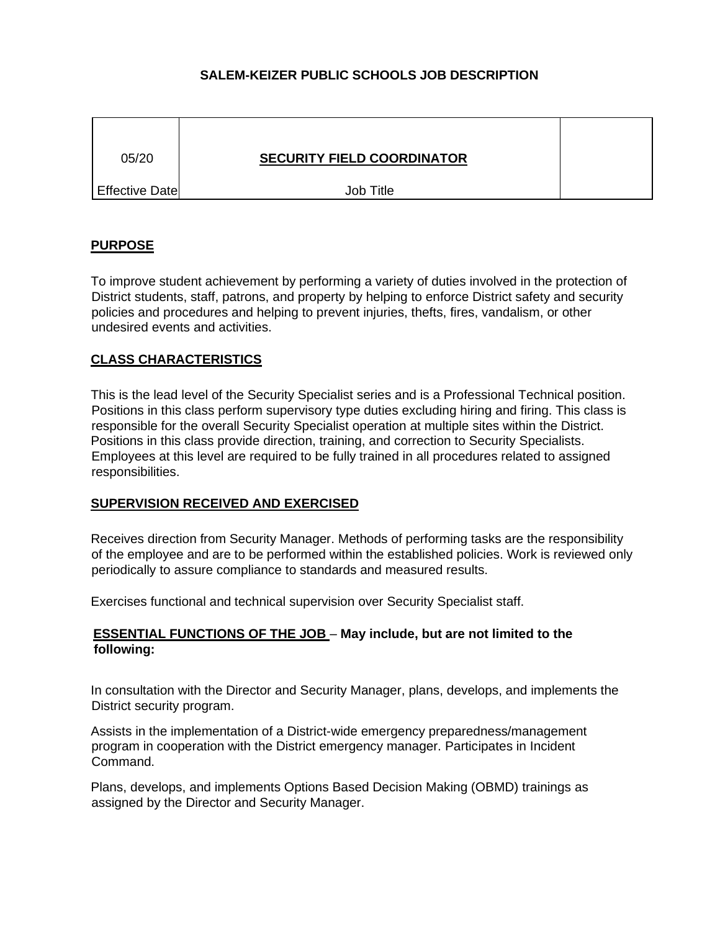# **SALEM-KEIZER PUBLIC SCHOOLS JOB DESCRIPTION**

| 05/20                 | <b>SECURITY FIELD COORDINATOR</b> |  |
|-----------------------|-----------------------------------|--|
| <b>Effective Date</b> | Job Title                         |  |

## **PURPOSE**

To improve student achievement by performing a variety of duties involved in the protection of District students, staff, patrons, and property by helping to enforce District safety and security policies and procedures and helping to prevent injuries, thefts, fires, vandalism, or other undesired events and activities.

### **CLASS CHARACTERISTICS**

This is the lead level of the Security Specialist series and is a Professional Technical position. Positions in this class perform supervisory type duties excluding hiring and firing. This class is responsible for the overall Security Specialist operation at multiple sites within the District. Positions in this class provide direction, training, and correction to Security Specialists. Employees at this level are required to be fully trained in all procedures related to assigned responsibilities.

### **SUPERVISION RECEIVED AND EXERCISED**

Receives direction from Security Manager. Methods of performing tasks are the responsibility of the employee and are to be performed within the established policies. Work is reviewed only periodically to assure compliance to standards and measured results.

Exercises functional and technical supervision over Security Specialist staff.

## **ESSENTIAL FUNCTIONS OF THE JOB** – **May include, but are not limited to the following:**

In consultation with the Director and Security Manager, plans, develops, and implements the District security program.

Assists in the implementation of a District-wide emergency preparedness/management program in cooperation with the District emergency manager. Participates in Incident Command.

Plans, develops, and implements Options Based Decision Making (OBMD) trainings as assigned by the Director and Security Manager.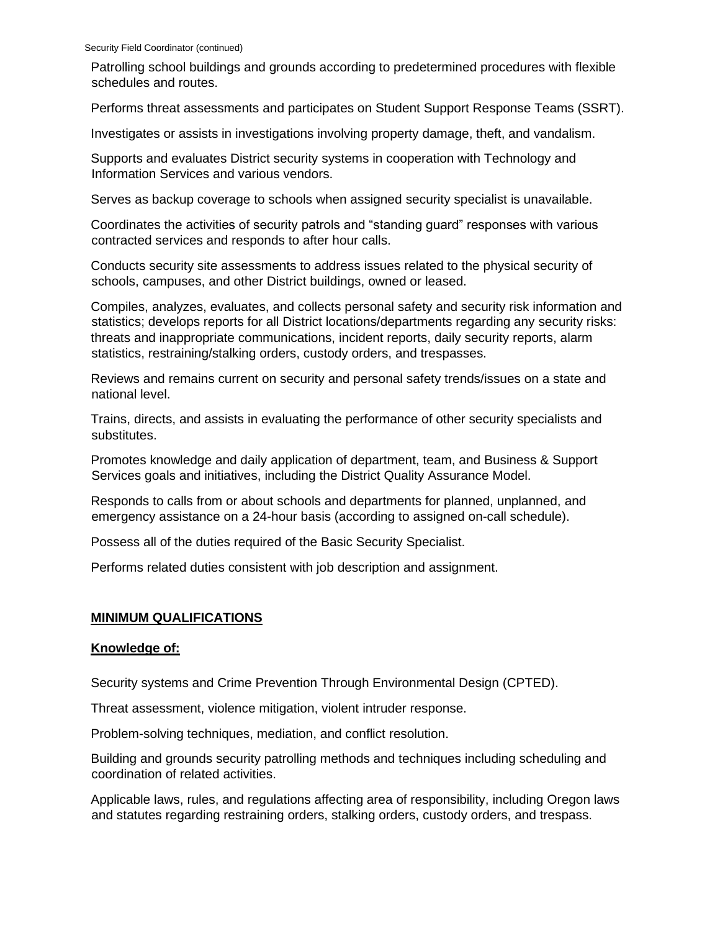Patrolling school buildings and grounds according to predetermined procedures with flexible schedules and routes.

Performs threat assessments and participates on Student Support Response Teams (SSRT).

Investigates or assists in investigations involving property damage, theft, and vandalism.

Supports and evaluates District security systems in cooperation with Technology and Information Services and various vendors.

Serves as backup coverage to schools when assigned security specialist is unavailable.

Coordinates the activities of security patrols and "standing guard" responses with various contracted services and responds to after hour calls.

Conducts security site assessments to address issues related to the physical security of schools, campuses, and other District buildings, owned or leased.

Compiles, analyzes, evaluates, and collects personal safety and security risk information and statistics; develops reports for all District locations/departments regarding any security risks: threats and inappropriate communications, incident reports, daily security reports, alarm statistics, restraining/stalking orders, custody orders, and trespasses.

Reviews and remains current on security and personal safety trends/issues on a state and national level.

Trains, directs, and assists in evaluating the performance of other security specialists and substitutes.

Promotes knowledge and daily application of department, team, and Business & Support Services goals and initiatives, including the District Quality Assurance Model.

Responds to calls from or about schools and departments for planned, unplanned, and emergency assistance on a 24-hour basis (according to assigned on-call schedule).

Possess all of the duties required of the Basic Security Specialist.

Performs related duties consistent with job description and assignment.

# **MINIMUM QUALIFICATIONS**

# **Knowledge of:**

Security systems and Crime Prevention Through Environmental Design (CPTED).

Threat assessment, violence mitigation, violent intruder response.

Problem-solving techniques, mediation, and conflict resolution.

Building and grounds security patrolling methods and techniques including scheduling and coordination of related activities.

Applicable laws, rules, and regulations affecting area of responsibility, including Oregon laws and statutes regarding restraining orders, stalking orders, custody orders, and trespass.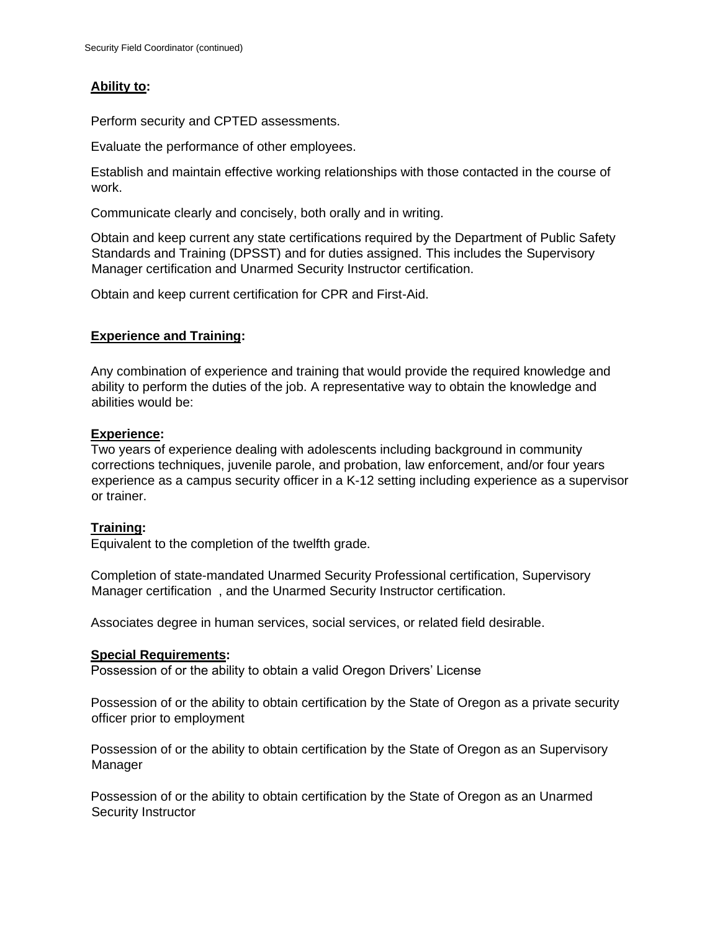# **Ability to:**

Perform security and CPTED assessments.

Evaluate the performance of other employees.

Establish and maintain effective working relationships with those contacted in the course of work.

Communicate clearly and concisely, both orally and in writing.

Obtain and keep current any state certifications required by the Department of Public Safety Standards and Training (DPSST) and for duties assigned. This includes the Supervisory Manager certification and Unarmed Security Instructor certification.

Obtain and keep current certification for CPR and First-Aid.

# **Experience and Training:**

Any combination of experience and training that would provide the required knowledge and ability to perform the duties of the job. A representative way to obtain the knowledge and abilities would be:

## **Experience:**

Two years of experience dealing with adolescents including background in community corrections techniques, juvenile parole, and probation, law enforcement, and/or four years experience as a campus security officer in a K-12 setting including experience as a supervisor or trainer.

# **Training:**

Equivalent to the completion of the twelfth grade.

Completion of state-mandated Unarmed Security Professional certification, Supervisory Manager certification , and the Unarmed Security Instructor certification.

Associates degree in human services, social services, or related field desirable.

### **Special Requirements:**

Possession of or the ability to obtain a valid Oregon Drivers' License

Possession of or the ability to obtain certification by the State of Oregon as a private security officer prior to employment

Possession of or the ability to obtain certification by the State of Oregon as an Supervisory Manager

Possession of or the ability to obtain certification by the State of Oregon as an Unarmed Security Instructor